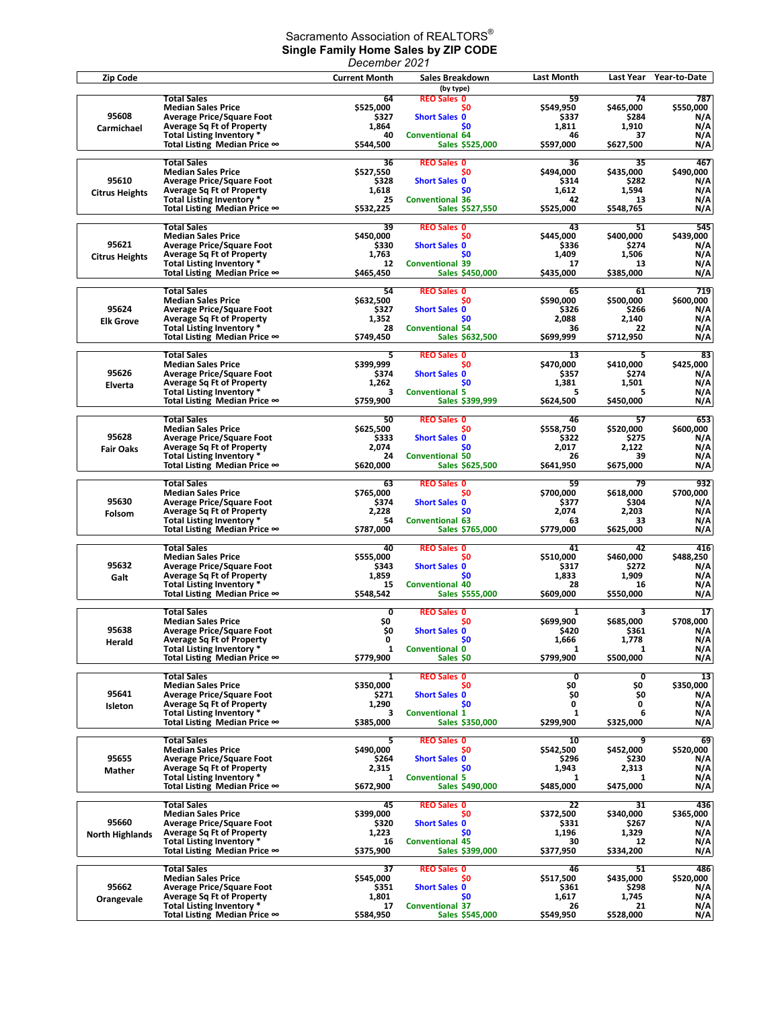## Sacramento Association of REALTORS $^\circ$ **Single Family Home Sales by ZIP CODE**

|                                 |                                                                                                                                                                                             | December 2021                                        |                                                                                                                              |                                                      |                                                      |                                              |
|---------------------------------|---------------------------------------------------------------------------------------------------------------------------------------------------------------------------------------------|------------------------------------------------------|------------------------------------------------------------------------------------------------------------------------------|------------------------------------------------------|------------------------------------------------------|----------------------------------------------|
| Zip Code                        |                                                                                                                                                                                             | <b>Current Month</b>                                 | Sales Breakdown                                                                                                              | Last Month                                           | Last Year                                            | Year-to-Date                                 |
| 95608<br>Carmichael             | <b>Total Sales</b><br><b>Median Sales Price</b><br><b>Average Price/Square Foot</b><br><b>Average Sq Ft of Property</b><br>Total Listing Inventory *<br>Total Listing Median Price ∞        | 64<br>\$525,000<br>\$327<br>1,864<br>40<br>\$544,500 | (by type)<br><b>REO Sales 0</b><br>S0<br><b>Short Sales 0</b><br>S <sub>0</sub><br><b>Conventional 64</b><br>Sales \$525,000 | 59<br>\$549,950<br>\$337<br>1,811<br>46<br>\$597,000 | 74<br>\$465,000<br>\$284<br>1,910<br>37<br>\$627,500 | 787<br>\$550,000<br>N/A<br>N/A<br>N/A<br>N/A |
| 95610<br><b>Citrus Heights</b>  | <b>Total Sales</b><br><b>Median Sales Price</b><br><b>Average Price/Square Foot</b><br><b>Average Sq Ft of Property</b><br>Total Listing Inventory *<br>Total Listing Median Price ∞        | 36<br>\$527,550<br>\$328<br>1,618<br>25<br>\$532,225 | <b>REO Sales 0</b><br>S0<br><b>Short Sales 0</b><br>\$0<br><b>Conventional 36</b><br>Sales \$527,550                         | 36<br>\$494,000<br>\$314<br>1,612<br>42<br>\$525,000 | 35<br>\$435,000<br>\$282<br>1,594<br>13<br>\$548,765 | 467<br>\$490,000<br>N/A<br>N/A<br>N/A<br>N/A |
| 95621<br><b>Citrus Heights</b>  | <b>Total Sales</b><br><b>Median Sales Price</b><br><b>Average Price/Square Foot</b><br><b>Average Sq Ft of Property</b><br>Total Listing Inventory *<br>Total Listing Median Price ∞        | 39<br>\$450,000<br>\$330<br>1,763<br>12<br>\$465,450 | <b>REO Sales 0</b><br>\$0<br><b>Short Sales 0</b><br>S <sub>0</sub><br><b>Conventional 39</b><br>Sales \$450,000             | 43<br>\$445.000<br>\$336<br>1,409<br>17<br>\$435,000 | 51<br>\$400,000<br>\$274<br>1,506<br>13<br>\$385,000 | 545<br>\$439,000<br>N/A<br>N/A<br>N/A<br>N/A |
| 95624<br><b>Elk Grove</b>       | <b>Total Sales</b><br><b>Median Sales Price</b><br><b>Average Price/Square Foot</b><br><b>Average Sq Ft of Property</b><br>Total Listing Inventory *<br>Total Listing Median Price $\infty$ | 54<br>\$632,500<br>\$327<br>1,352<br>28<br>\$749,450 | <b>REO Sales 0</b><br>S0<br><b>Short Sales 0</b><br>\$0<br><b>Conventional 54</b><br><b>Sales \$632,500</b>                  | 65<br>\$590,000<br>\$326<br>2,088<br>36<br>\$699,999 | 61<br>\$500,000<br>\$266<br>2,140<br>22<br>\$712,950 | 719<br>\$600,000<br>N/A<br>N/A<br>N/A<br>N/A |
| 95626<br>Elverta                | <b>Total Sales</b><br><b>Median Sales Price</b><br><b>Average Price/Square Foot</b><br><b>Average Sq Ft of Property</b><br>Total Listing Inventory *<br>Total Listing Median Price ∞        | 5<br>\$399,999<br>\$374<br>1,262<br>з<br>\$759,900   | <b>REO Sales 0</b><br>\$0<br><b>Short Sales 0</b><br>\$0<br><b>Conventional 5</b><br>Sales \$399,999                         | 13<br>\$470,000<br>\$357<br>1,381<br>5<br>\$624,500  | 5<br>\$410.000<br>\$274<br>1,501<br>5<br>\$450,000   | 83<br>\$425,000<br>N/A<br>N/A<br>N/A<br>N/A  |
| 95628<br><b>Fair Oaks</b>       | <b>Total Sales</b><br><b>Median Sales Price</b><br><b>Average Price/Square Foot</b><br><b>Average Sq Ft of Property</b><br>Total Listing Inventory *<br>Total Listing Median Price ∞        | 50<br>\$625,500<br>\$333<br>2,074<br>24<br>\$620,000 | <b>REO Sales 0</b><br>S0<br><b>Short Sales 0</b><br>S <sub>0</sub><br><b>Conventional 50</b><br>Sales \$625,500              | 46<br>\$558,750<br>\$322<br>2,017<br>26<br>\$641,950 | 57<br>\$520,000<br>\$275<br>2,122<br>39<br>\$675,000 | 653<br>\$600,000<br>N/A<br>N/A<br>N/A<br>N/A |
| 95630<br>Folsom                 | <b>Total Sales</b><br><b>Median Sales Price</b><br><b>Average Price/Square Foot</b><br><b>Average Sq Ft of Property</b><br>Total Listing Inventory *<br>Total Listing Median Price ∞        | 63<br>\$765,000<br>\$374<br>2,228<br>54<br>\$787,000 | <b>REO Sales 0</b><br>S0<br><b>Short Sales 0</b><br>\$0<br><b>Conventional 63</b><br>Sales \$765,000                         | 59<br>\$700,000<br>\$377<br>2,074<br>63<br>\$779,000 | 79<br>\$618,000<br>\$304<br>2,203<br>33<br>\$625,000 | 932<br>\$700,000<br>N/A<br>N/A<br>N/A<br>N/A |
| 95632<br>Galt                   | <b>Total Sales</b><br><b>Median Sales Price</b><br><b>Average Price/Square Foot</b><br><b>Average Sq Ft of Property</b><br>Total Listing Inventory *<br>Total Listing Median Price ∞        | 40<br>\$555,000<br>\$343<br>1,859<br>15<br>\$548,542 | <b>REO Sales 0</b><br>\$0<br><b>Short Sales 0</b><br>S <sub>0</sub><br><b>Conventional 40</b><br>Sales \$555,000             | 41<br>\$510,000<br>\$317<br>1,833<br>28<br>\$609,000 | 42<br>\$460,000<br>\$272<br>1,909<br>16<br>\$550,000 | 416<br>\$488,250<br>N/A<br>N/A<br>N/A<br>N/A |
| 95638<br>Herald                 | <b>Total Sales</b><br><b>Median Sales Price</b><br><b>Average Price/Square Foot</b><br><b>Average Sq Ft of Property</b><br>Total Listing Inventory *<br>Total Listing Median Price $\infty$ | 0<br>\$0<br>\$O<br>0<br>1<br>\$779,900               | <b>REO Sales 0</b><br>SO.<br><b>Short Sales 0</b><br>\$0<br><b>Conventional 0</b><br>Sales \$0                               | 1<br>\$699.900<br>\$420<br>1,666<br>1<br>\$799,900   | 3<br>\$685,000<br>\$361<br>1,778<br>1<br>\$500,000   | 17<br>\$708,000<br>N/A<br>N/A<br>N/A<br>N/A  |
| 95641<br>Isleton                | <b>Total Sales</b><br><b>Median Sales Price</b><br><b>Average Price/Square Foot</b><br><b>Average Sq Ft of Property</b><br>Total Listing Inventory *<br>Total Listing Median Price ∞        | 1<br>\$350,000<br>\$271<br>1,290<br>3<br>\$385,000   | <b>REO Sales 0</b><br>\$0<br><b>Short Sales 0</b><br>\$0<br><b>Conventional 1</b><br>Sales \$350,000                         | 0<br>\$0<br>\$0<br>0<br>1<br>\$299,900               | 0<br>\$0<br>\$0<br>0<br>6<br>\$325,000               | 13<br>\$350,000<br>N/A<br>N/A<br>N/A<br>N/A  |
| 95655<br>Mather                 | <b>Total Sales</b><br><b>Median Sales Price</b><br><b>Average Price/Square Foot</b><br><b>Average Sq Ft of Property</b><br>Total Listing Inventory *<br>Total Listing Median Price ∞        | 5<br>\$490.000<br>\$264<br>2,315<br>1<br>\$672,900   | <b>REO Sales 0</b><br>S0<br><b>Short Sales 0</b><br>S <sub>0</sub><br><b>Conventional 5</b><br>Sales \$490,000               | 10<br>\$542,500<br>\$296<br>1,943<br>1<br>\$485,000  | 9<br>\$452,000<br>\$230<br>2,313<br>1<br>\$475,000   | 69<br>\$520,000<br>N/A<br>N/A<br>N/A<br>N/A  |
| 95660<br><b>North Highlands</b> | <b>Total Sales</b><br><b>Median Sales Price</b><br><b>Average Price/Square Foot</b><br><b>Average Sq Ft of Property</b><br>Total Listing Inventory *<br>Total Listing Median Price $\infty$ | 45<br>\$399,000<br>\$320<br>1,223<br>16<br>\$375,900 | <b>REO Sales 0</b><br>SO.<br><b>Short Sales 0</b><br>\$0<br><b>Conventional 45</b><br>Sales \$399,000                        | 22<br>\$372,500<br>\$331<br>1,196<br>30<br>\$377,950 | 31<br>\$340,000<br>\$267<br>1,329<br>12<br>\$334,200 | 436<br>\$365,000<br>N/A<br>N/A<br>N/A<br>N/A |
| 95662<br>Orangevale             | <b>Total Sales</b><br><b>Median Sales Price</b><br><b>Average Price/Square Foot</b><br><b>Average Sq Ft of Property</b><br>Total Listing Inventory *<br>Total Listing Median Price ∞        | 37<br>\$545,000<br>\$351<br>1,801<br>17<br>\$584,950 | <b>REO Sales 0</b><br>SO.<br><b>Short Sales 0</b><br>S <sub>0</sub><br><b>Conventional 37</b><br>Sales \$545,000             | 46<br>\$517,500<br>\$361<br>1,617<br>26<br>\$549,950 | 51<br>\$435,000<br>\$298<br>1,745<br>21<br>\$528,000 | 486<br>\$520,000<br>N/A<br>N/A<br>N/A<br>N/A |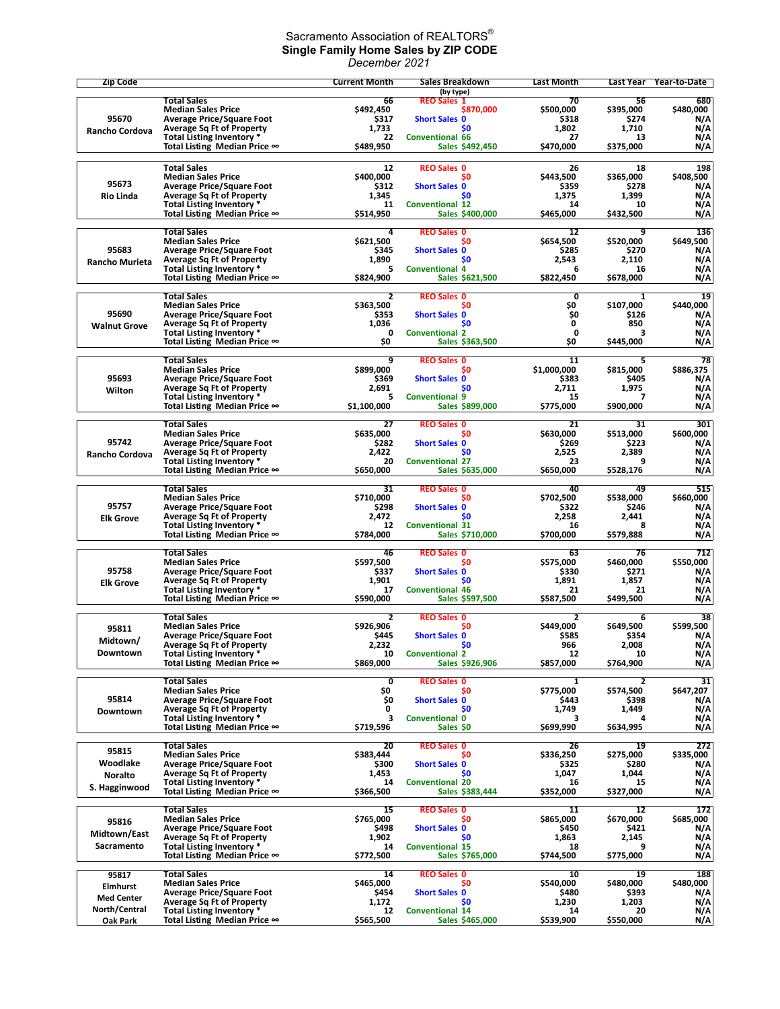## Sacramento Association of REALTORS $^\circ$ **Single Family Home Sales by ZIP CODE** *December 2021*

| <b>Zip Code</b>       |                                                                      | <b>Current Month</b> | Sales Breakdown                           | Last Month         | Last Year          | Year-to-Date     |
|-----------------------|----------------------------------------------------------------------|----------------------|-------------------------------------------|--------------------|--------------------|------------------|
|                       | <b>Total Sales</b>                                                   |                      | (by type)                                 | 70                 |                    | 680              |
|                       | <b>Median Sales Price</b>                                            | 66<br>S492.450       | <b>REO Sales 1</b><br>\$870,000           | \$500,000          | 56<br>\$395,000    | \$480,000        |
| 95670                 | <b>Average Price/Square Foot</b>                                     | \$317                | <b>Short Sales 0</b>                      | \$318              | \$274              | N/A              |
| Rancho Cordova        | <b>Average Sq Ft of Property</b>                                     | 1,733                | \$0                                       | 1,802              | 1,710              | N/A              |
|                       | Total Listing Inventory *<br>Total Listing Median Price ∞            | 22<br>\$489,950      | <b>Conventional 66</b><br>Sales \$492,450 | 27<br>\$470.000    | 13<br>\$375,000    | N/A<br>N/A       |
|                       |                                                                      |                      |                                           |                    |                    |                  |
|                       | <b>Total Sales</b>                                                   | 12                   | <b>REO Sales 0</b>                        | 26                 | 18                 | 198              |
| 95673                 | <b>Median Sales Price</b>                                            | \$400,000            | \$0                                       | \$443,500          | \$365,000          | \$408,500        |
| <b>Rio Linda</b>      | <b>Average Price/Square Foot</b><br><b>Average Sq Ft of Property</b> | \$312<br>1,345       | <b>Short Sales 0</b><br>S <sub>0</sub>    | \$359<br>1,375     | \$278<br>1,399     | N/A<br>N/A       |
|                       | Total Listing Inventory *                                            | 11                   | <b>Conventional 12</b>                    | 14                 | 10                 | N/A              |
|                       | Total Listing Median Price $\infty$                                  | \$514,950            | Sales \$400,000                           | \$465,000          | \$432,500          | N/A              |
|                       | <b>Total Sales</b>                                                   | 4                    | <b>REO Sales 0</b>                        | 12                 | 9                  | 136              |
|                       | <b>Median Sales Price</b>                                            | \$621,500            | <b>SO</b>                                 | \$654,500          | \$520,000          | \$649,500        |
| 95683                 | <b>Average Price/Square Foot</b>                                     | \$345                | <b>Short Sales 0</b>                      | \$285              | \$270              | N/A              |
| Rancho Murieta        | <b>Average Sq Ft of Property</b><br>Total Listing Inventory *        | 1,890<br>5           | \$0<br><b>Conventional 4</b>              | 2,543<br>6         | 2,110<br>16        | N/A<br>N/A       |
|                       | Total Listing Median Price ∞                                         | \$824,900            | Sales \$621,500                           | \$822,450          | \$678,000          | N/A              |
|                       |                                                                      |                      |                                           |                    |                    |                  |
|                       | <b>Total Sales</b><br><b>Median Sales Price</b>                      | 2<br>\$363,500       | <b>REO Sales 0</b><br>\$0                 | 0<br>\$O           | 1<br>\$107,000     | 19<br>\$440,000  |
| 95690                 | <b>Average Price/Square Foot</b>                                     | \$353                | <b>Short Sales 0</b>                      | \$0                | \$126              | N/A              |
| <b>Walnut Grove</b>   | <b>Average Sq Ft of Property</b>                                     | 1,036                | S <sub>0</sub>                            | 0                  | 850                | N/A              |
|                       | Total Listing Inventory *<br>Total Listing Median Price ∞            | 0<br>S0              | <b>Conventional 2</b><br>Sales \$363,500  | $\mathbf{0}$<br>S0 | 3<br>\$445,000     | N/A<br>N/A       |
|                       |                                                                      |                      |                                           |                    |                    |                  |
|                       | <b>Total Sales</b>                                                   | 9                    | <b>REO Sales 0</b>                        | 11                 | 5                  | 78               |
| 95693                 | <b>Median Sales Price</b><br><b>Average Price/Square Foot</b>        | \$899,000            | S <sub>0</sub>                            | \$1,000,000        | \$815.000          | \$886,375        |
| Wilton                | <b>Average Sq Ft of Property</b>                                     | \$369<br>2,691       | <b>Short Sales 0</b><br>\$0               | \$383<br>2,711     | \$405<br>1,975     | N/A<br>N/A       |
|                       | Total Listing Inventory *                                            | 5                    | <b>Conventional 9</b>                     | 15                 | 7                  | N/A              |
|                       | Total Listing Median Price $\infty$                                  | \$1,100,000          | Sales \$899,000                           | \$775.000          | \$900,000          | N/A              |
|                       | <b>Total Sales</b>                                                   | 27                   | <b>REO Sales 0</b>                        | 21                 | 31                 | 301              |
|                       | <b>Median Sales Price</b>                                            | \$635,000            | \$0                                       | \$630,000          | \$513.000          | \$600,000        |
| 95742                 | <b>Average Price/Square Foot</b>                                     | \$282                | <b>Short Sales 0</b>                      | \$269              | \$223              | N/A              |
| <b>Rancho Cordova</b> | <b>Average Sq Ft of Property</b><br>Total Listing Inventory *        | 2,422<br>20          | \$0<br><b>Conventional 27</b>             | 2,525<br>23        | 2,389<br>9         | N/A<br>N/A       |
|                       | Total Listing Median Price ∞                                         | \$650,000            | Sales \$635,000                           | \$650,000          | \$528,176          | N/A              |
|                       |                                                                      |                      |                                           |                    |                    |                  |
|                       | <b>Total Sales</b><br><b>Median Sales Price</b>                      | 31<br>\$710,000      | <b>REO Sales 0</b><br>\$0                 | 40<br>\$702,500    | 49<br>\$538,000    | 515<br>\$660,000 |
| 95757                 | <b>Average Price/Square Foot</b>                                     | \$298                | <b>Short Sales 0</b>                      | \$322              | \$246              | N/A              |
| <b>Elk Grove</b>      | <b>Average Sq Ft of Property</b>                                     | 2,472                | <b>SO</b>                                 | 2,258              | 2,441              | N/A              |
|                       | Total Listing Inventory *<br>Total Listing Median Price $\infty$     | 12<br>\$784,000      | <b>Conventional 31</b><br>Sales \$710,000 | 16<br>\$700,000    | 8<br>\$579,888     | N/A<br>N/A       |
|                       |                                                                      |                      |                                           |                    |                    |                  |
|                       | <b>Total Sales</b>                                                   | 46                   | <b>REO Sales 0</b>                        | 63                 | 76                 | 712              |
| 95758                 | <b>Median Sales Price</b><br><b>Average Price/Square Foot</b>        | \$597,500<br>\$337   | <b>SO</b><br><b>Short Sales 0</b>         | \$575,000<br>\$330 | \$460,000<br>\$271 | \$550,000<br>N/A |
| <b>Elk Grove</b>      | <b>Average Sq Ft of Property</b>                                     | 1,901                | \$0                                       | 1,891              | 1,857              | N/A              |
|                       | Total Listing Inventory *                                            | 17                   | <b>Conventional 46</b>                    | 21                 | 21                 | N/A              |
|                       | Total Listing Median Price ∞                                         | \$590,000            | Sales \$597,500                           | \$587,500          | \$499,500          | N/A              |
|                       | <b>Total Sales</b>                                                   | 2                    | <b>REO Sales 0</b>                        | 2                  | 6                  | 38               |
| 95811                 | <b>Median Sales Price</b>                                            | \$926,906            | S0                                        | \$449,000          | \$649,500          | \$599,500        |
| Midtown/              | <b>Average Price/Square Foot</b><br><b>Average Sq Ft of Property</b> | \$445<br>2,232       | <b>Short Sales 0</b><br><b>SO</b>         | \$585<br>966       | \$354<br>2,008     | N/A<br>N/A       |
| Downtown              | Total Listing Inventory *                                            | 10                   | <b>Conventional 2</b>                     | 12                 | 10                 | N/A              |
|                       | Total Listing Median Price ∞                                         | \$869,000            | Sales \$926,906                           | \$857,000          | \$764,900          | N/A              |
|                       | <b>Total Sales</b>                                                   | 0                    | <b>REO Sales 0</b>                        | 1                  | 2                  | 31               |
|                       | <b>Median Sales Price</b>                                            | \$O                  | S0                                        | \$775,000          | \$574,500          | \$647,207        |
| 95814                 | <b>Average Price/Square Foot</b>                                     | Ş0                   | <b>Short Sales 0</b>                      | \$443              | \$398              | N/A              |
| Downtown              | <b>Average Sq Ft of Property</b><br>Total Listing Inventory *        | 0<br>3               | \$0<br><b>Conventional 0</b>              | 1,749<br>з         | 1,449<br>4         | N/A<br>N/A       |
|                       | Total Listing Median Price ∞                                         | \$719,596            | Sales \$0                                 | \$699,990          | \$634,995          | N/A              |
|                       |                                                                      |                      |                                           |                    |                    |                  |
| 95815                 | <b>Total Sales</b><br><b>Median Sales Price</b>                      | 20<br>\$383,444      | <b>REO Sales 0</b><br>\$0                 | 26<br>\$336,250    | 19<br>\$275,000    | 272<br>\$335,000 |
| Woodlake              | <b>Average Price/Square Foot</b>                                     | \$300                | <b>Short Sales 0</b>                      | \$325              | \$280              | N/A              |
| <b>Noralto</b>        | <b>Average Sq Ft of Property</b>                                     | 1,453                | \$O                                       | 1,047              | 1,044              | N/A              |
| S. Hagginwood         | Total Listing Inventory *                                            | 14                   | <b>Conventional 20</b>                    | 16                 | 15                 | N/A              |
|                       | Total Listing Median Price ∞                                         | \$366,500            | Sales \$383,444                           | \$352,000          | \$327,000          | N/A              |
|                       | <b>Total Sales</b>                                                   | 15                   | <b>REO Sales 0</b>                        | 11                 | 12                 | 172              |
| 95816                 | <b>Median Sales Price</b>                                            | \$765,000<br>\$498   | S0                                        | \$865,000<br>\$450 | \$670,000          | \$685,000        |
| Midtown/East          | <b>Average Price/Square Foot</b><br><b>Average Sq Ft of Property</b> | 1,902                | <b>Short Sales 0</b><br>\$0               | 1,863              | \$421<br>2,145     | N/A<br>N/A       |
| Sacramento            | Total Listing Inventory *                                            | 14                   | <b>Conventional 15</b>                    | 18                 | 9                  | N/A              |
|                       | Total Listing Median Price ∞                                         | \$772,500            | Sales \$765,000                           | \$744,500          | \$775,000          | N/A              |
| 95817                 | <b>Total Sales</b>                                                   | 14                   | <b>REO Sales 0</b>                        | 10                 | 19                 | 188              |
| Elmhurst              | <b>Median Sales Price</b>                                            | \$465,000            | \$O                                       | \$540,000          | \$480,000          | \$480,000        |
| <b>Med Center</b>     | <b>Average Price/Square Foot</b>                                     | \$454                | <b>Short Sales 0</b>                      | \$480              | \$393              | N/A              |
| North/Central         | <b>Average Sq Ft of Property</b><br>Total Listing Inventory *        | 1,172<br>12          | \$0<br><b>Conventional 14</b>             | 1,230<br>14        | 1,203<br>20        | N/A<br>N/A       |
| Oak Park              | Total Listing Median Price ∞                                         | \$565,500            | Sales \$465,000                           | \$539,900          | \$550,000          | N/A              |
|                       |                                                                      |                      |                                           |                    |                    |                  |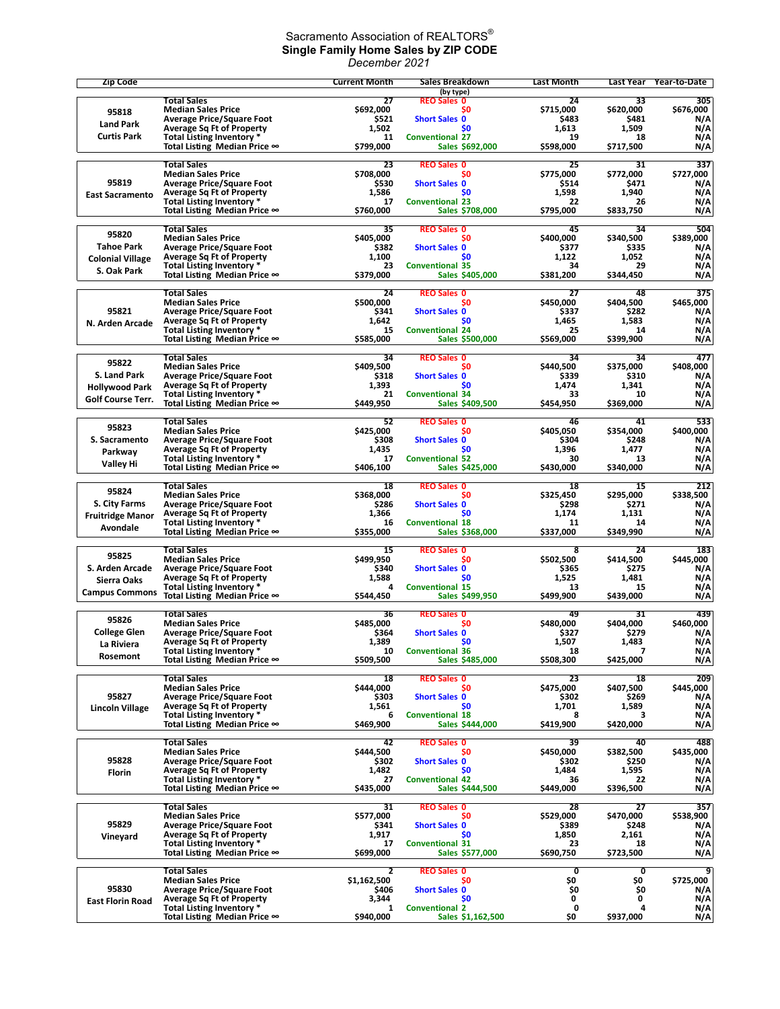## Sacramento Association of REALTORS $^\circ$ **Single Family Home Sales by ZIP CODE** *December 2021*

| <b>Zip Code</b>          |                                                                      | <b>Current Month</b> | Sales Breakdown<br>(by type)        | <b>Last Month</b>  | Last Year          | Year-to-Date     |
|--------------------------|----------------------------------------------------------------------|----------------------|-------------------------------------|--------------------|--------------------|------------------|
|                          | <b>Total Sales</b>                                                   | 27                   | <b>REO Sales 0</b>                  | 24                 | 33                 | 305              |
| 95818                    | <b>Median Sales Price</b>                                            | \$692,000            | S <sub>0</sub>                      | \$715,000          | \$620,000          | \$676,000        |
| <b>Land Park</b>         | <b>Average Price/Square Foot</b><br><b>Average Sq Ft of Property</b> | \$521<br>1,502       | <b>Short Sales 0</b><br>\$0         | \$483<br>1,613     | \$481<br>1,509     | N/A<br>N/A       |
| <b>Curtis Park</b>       | Total Listing Inventory *                                            | 11                   | <b>Conventional 27</b>              | 19                 | 18                 | N/A              |
|                          | Total Listing Median Price ∞                                         | \$799,000            | <b>Sales \$692,000</b>              | \$598,000          | \$717,500          | N/A              |
|                          | <b>Total Sales</b>                                                   | 23                   | <b>REO Sales 0</b>                  | 25                 | 31                 | 337              |
| 95819                    | <b>Median Sales Price</b><br><b>Average Price/Square Foot</b>        | \$708,000<br>\$530   | \$0<br><b>Short Sales 0</b>         | \$775,000<br>\$514 | \$772,000<br>\$471 | \$727,000<br>N/A |
| <b>East Sacramento</b>   | <b>Average Sq Ft of Property</b>                                     | 1,586                | <b>SO</b>                           | 1,598              | 1,940              | N/A              |
|                          | Total Listing Inventory *                                            | 17                   | <b>Conventional 23</b>              | 22                 | 26                 | N/A              |
|                          | Total Listing Median Price ∞                                         | \$760,000            | Sales \$708,000                     | \$795,000          | \$833,750          | N/A              |
| 95820                    | <b>Total Sales</b>                                                   | 35                   | <b>REO Sales 0</b>                  | 45                 | 34                 | 504              |
| <b>Tahoe Park</b>        | <b>Median Sales Price</b><br><b>Average Price/Square Foot</b>        | \$405,000<br>\$382   | S0<br><b>Short Sales 0</b>          | \$400,000<br>\$377 | \$340,500<br>\$335 | \$389,000<br>N/A |
| <b>Colonial Village</b>  | <b>Average Sq Ft of Property</b>                                     | 1,100                | \$0                                 | 1,122              | 1,052              | N/A              |
| S. Oak Park              | Total Listing Inventory *                                            | 23                   | <b>Conventional 35</b>              | 34                 | 29                 | N/A              |
|                          | Total Listing Median Price ∞                                         | \$379,000            | Sales \$405,000                     | \$381,200          | \$344,450          | N/A              |
|                          | <b>Total Sales</b>                                                   | 24                   | <b>REO Sales 0</b>                  | 27                 | 48                 | 375              |
| 95821                    | <b>Median Sales Price</b><br><b>Average Price/Square Foot</b>        | \$500,000<br>\$341   | \$0<br><b>Short Sales 0</b>         | \$450,000<br>\$337 | \$404,500<br>\$282 | \$465,000<br>N/A |
| N. Arden Arcade          | <b>Average Sq Ft of Property</b>                                     | 1,642                | \$0                                 | 1,465              | 1,583              | N/A              |
|                          | Total Listing Inventory *                                            | 15                   | <b>Conventional 24</b>              | 25                 | 14                 | N/A              |
|                          | Total Listing Median Price ∞                                         | \$585,000            | Sales \$500,000                     | \$569,000          | \$399,900          | N/A              |
| 95822                    | <b>Total Sales</b>                                                   | 34                   | <b>REO Sales 0</b>                  | 34                 | 34                 | 477              |
| S. Land Park             | <b>Median Sales Price</b><br><b>Average Price/Square Foot</b>        | \$409,500<br>\$318   | SO.<br><b>Short Sales 0</b>         | \$440,500<br>\$339 | \$375,000<br>\$310 | \$408,000<br>N/A |
| <b>Hollywood Park</b>    | <b>Average Sq Ft of Property</b>                                     | 1,393                | S <sub>0</sub>                      | 1,474              | 1,341              | N/A              |
| <b>Golf Course Terr.</b> | Total Listing Inventory *                                            | 21                   | <b>Conventional 34</b>              | 33                 | 10                 | N/A              |
|                          | Total Listing Median Price ∞                                         | \$449,950            | Sales \$409,500                     | \$454,950          | \$369,000          | N/A              |
| 95823                    | <b>Total Sales</b>                                                   | 52                   | <b>REO Sales 0</b>                  | 46                 | 41                 | 533              |
|                          | <b>Median Sales Price</b>                                            | \$425,000            | S <sub>0</sub>                      | \$405,050          | \$354,000          | \$400.000        |
| S. Sacramento            | <b>Average Price/Square Foot</b><br><b>Average Sq Ft of Property</b> | \$308<br>1,435       | <b>Short Sales 0</b><br>\$0         | \$304<br>1,396     | \$248<br>1,477     | N/A<br>N/A       |
| Parkway                  | Total Listing Inventory *                                            | 17                   | <b>Conventional 52</b>              | 30                 | 13                 | N/A              |
| Valley Hi                | Total Listing Median Price ∞                                         | \$406,100            | Sales \$425,000                     | \$430,000          | \$340,000          | N/A              |
|                          | <b>Total Sales</b>                                                   | 18                   | <b>REO Sales 0</b>                  | 18                 | 15                 | 212              |
| 95824                    | <b>Median Sales Price</b>                                            | \$368,000            | \$0                                 | \$325,450          | \$295,000          | \$338,500        |
| S. City Farms            | <b>Average Price/Square Foot</b>                                     | \$286                | <b>Short Sales 0</b>                | \$298              | \$271              | N/A              |
| <b>Fruitridge Manor</b>  | <b>Average Sq Ft of Property</b><br>Total Listing Inventory *        | 1,366<br>16          | <b>SO</b><br><b>Conventional 18</b> | 1,174<br>11        | 1,131<br>14        | N/A<br>N/A       |
| Avondale                 | Total Listing Median Price ∞                                         | \$355,000            | Sales \$368,000                     | \$337,000          | \$349,990          | N/A              |
|                          | <b>Total Sales</b>                                                   | 15                   | <b>REO Sales 0</b>                  | 8                  | 24                 | 183              |
| 95825                    | <b>Median Sales Price</b>                                            | \$499,950            | S0                                  | \$502,500          | \$414,500          | \$445,000        |
| S. Arden Arcade          | <b>Average Price/Square Foot</b><br><b>Average Sq Ft of Property</b> | \$340<br>1,588       | <b>Short Sales 0</b><br>\$0         | \$365<br>1,525     | \$275<br>1,481     | N/A<br>N/A       |
| Sierra Oaks              | Total Listing Inventory *                                            | 4                    | <b>Conventional 15</b>              | 13                 | 15                 | N/A              |
| <b>Campus Commons</b>    | Total Listing Median Price ∞                                         | \$544,450            | Sales \$499,950                     | \$499,900          | \$439,000          | N/A              |
|                          | Total Sales                                                          | 36                   | <b>REO Sales 0</b>                  | 49                 | 31                 | 439              |
| 95826                    | <b>Median Sales Price</b>                                            | \$485,000            | \$0                                 | \$480,000          | \$404,000          | \$460,000        |
| <b>College Glen</b>      | <b>Average Price/Square Foot</b>                                     | \$364                | <b>Short Sales 0</b>                | \$327              | \$279              | N/A              |
| La Riviera               | <b>Average Sq Ft of Property</b><br>Total Listing Inventory *        | 1,389<br>10          | \$0<br><b>Conventional 36</b>       | 1,507<br>18        | 1,483<br>7         | N/A<br>N/A       |
| Rosemont                 | Total Listing Median Price ∞                                         | \$509,500            | Sales \$485,000                     | \$508,300          | \$425,000          | N/A              |
|                          | <b>Total Sales</b>                                                   | 18                   | <b>REO Sales 0</b>                  | 23                 | 18                 | 209              |
|                          | <b>Median Sales Price</b>                                            | \$444,000            | \$0                                 | \$475,000          | \$407,500          | \$445,000        |
| 95827                    | <b>Average Price/Square Foot</b>                                     | \$303                | <b>Short Sales 0</b>                | \$302              | \$269              | N/A              |
| <b>Lincoln Village</b>   | <b>Average Sq Ft of Property</b><br>Total Listing Inventory *        | 1,561<br>6           | \$0<br><b>Conventional 18</b>       | 1,701<br>8         | 1,589<br>3         | N/A<br>N/A       |
|                          | Total Listing Median Price ∞                                         | \$469,900            | Sales \$444,000                     | \$419,900          | \$420,000          | N/A              |
|                          | <b>Total Sales</b>                                                   | 42                   | <b>REO Sales 0</b>                  | 39                 | 40                 | 488              |
|                          | <b>Median Sales Price</b>                                            | \$444,500            | SO.                                 | \$450,000          | \$382,500          | \$435,000        |
| 95828                    | <b>Average Price/Square Foot</b>                                     | \$302                | <b>Short Sales 0</b>                | \$302              | \$250              | N/A              |
| Florin                   | <b>Average Sq Ft of Property</b><br>Total Listing Inventory *        | 1,482<br>27          | \$0<br><b>Conventional 42</b>       | 1,484<br>36        | 1,595<br>22        | N/A<br>N/A       |
|                          | Total Listing Median Price ∞                                         | \$435,000            | <b>Sales \$444,500</b>              | \$449,000          | \$396,500          | N/A              |
|                          | <b>Total Sales</b>                                                   | 31                   | <b>REO Sales 0</b>                  | 28                 | 27                 | 357              |
|                          | <b>Median Sales Price</b>                                            | \$577,000            | \$0                                 | \$529,000          | \$470,000          | \$538,900        |
| 95829                    | <b>Average Price/Square Foot</b>                                     | \$341                | <b>Short Sales 0</b>                | \$389              | \$248              | N/A              |
| Vineyard                 | <b>Average Sq Ft of Property</b><br>Total Listing Inventory *        | 1,917<br>17          | <b>SO</b><br><b>Conventional 31</b> | 1,850<br>23        | 2,161<br>18        | N/A<br>N/A       |
|                          | Total Listing Median Price ∞                                         | \$699,000            | Sales \$577,000                     | \$690,750          | \$723,500          | N/A              |
|                          | <b>Total Sales</b>                                                   | 2                    | <b>REO Sales 0</b>                  | 0                  | 0                  | 9                |
|                          | <b>Median Sales Price</b>                                            | \$1,162,500          | S0                                  | \$0                | SO.                | \$725,000        |
| 95830                    | <b>Average Price/Square Foot</b>                                     | \$406                | <b>Short Sales 0</b>                | SO.                | \$0                | N/A              |
| <b>East Florin Road</b>  | <b>Average Sq Ft of Property</b><br>Total Listing Inventory *        | 3,344<br>1           | \$0<br><b>Conventional 2</b>        | 0<br>0             | 0<br>4             | N/A<br>N/A       |
|                          | Total Listing Median Price ∞                                         | \$940,000            | Sales \$1,162,500                   | \$0                | \$937,000          | N/A              |